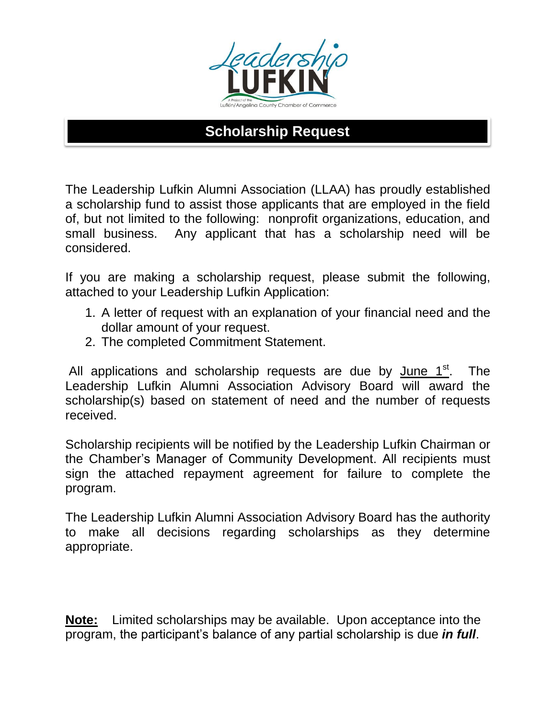

## **Scholarship Request**

The Leadership Lufkin Alumni Association (LLAA) has proudly established a scholarship fund to assist those applicants that are employed in the field of, but not limited to the following: nonprofit organizations, education, and small business. Any applicant that has a scholarship need will be considered.

If you are making a scholarship request, please submit the following, attached to your Leadership Lufkin Application:

- 1. A letter of request with an explanation of your financial need and the dollar amount of your request.
- 2. The completed Commitment Statement.

All applications and scholarship requests are due by June  $1<sup>st</sup>$ . The Leadership Lufkin Alumni Association Advisory Board will award the scholarship(s) based on statement of need and the number of requests received.

Scholarship recipients will be notified by the Leadership Lufkin Chairman or the Chamber's Manager of Community Development. All recipients must sign the attached repayment agreement for failure to complete the program.

The Leadership Lufkin Alumni Association Advisory Board has the authority to make all decisions regarding scholarships as they determine appropriate.

**Note:** Limited scholarships may be available. Upon acceptance into the program, the participant's balance of any partial scholarship is due *in full*.